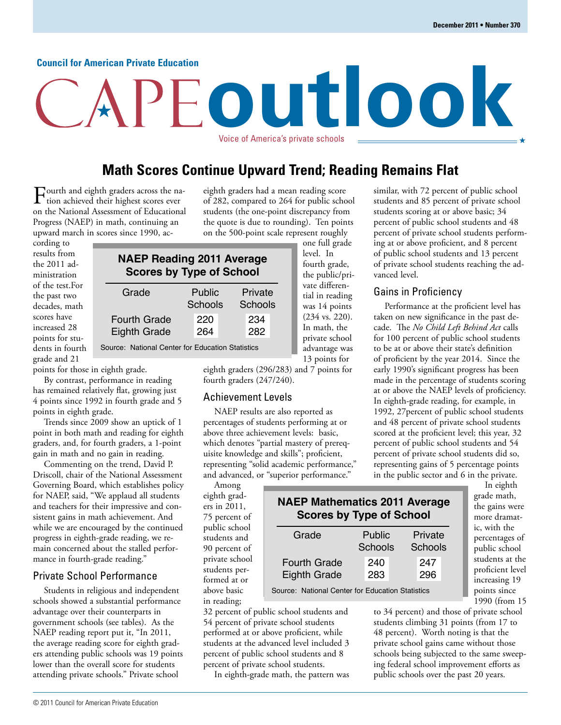#### **Council for American Private Education**

# **outlook** Voice of America's private schools

### **Math Scores Continue Upward Trend; Reading Remains Flat**

Fourth and eighth graders across the nation achieved their highest scores ever on the National Assessment of Educational Progress (NAEP) in math, continuing an upward march in scores since 1990, aceighth graders had a mean reading score of 282, compared to 264 for public school students (the one-point discrepancy from the quote is due to rounding). Ten points on the 500-point scale represent roughly

cording to results from the 2011 administration of the test.For the past two decades, math scores have increased 28 points for students in fourth grade and 21

### **NAEP Reading 2011 Average Scores by Type of School**

| Grade               | <b>Public</b><br>Schools | Private<br>Schools |
|---------------------|--------------------------|--------------------|
| <b>Fourth Grade</b> | 220                      | 234                |
| <b>Eighth Grade</b> | 264                      | 282                |

Source: National Center for Education Statistics

points for those in eighth grade.

By contrast, performance in reading has remained relatively flat, growing just 4 points since 1992 in fourth grade and 5 points in eighth grade.

Trends since 2009 show an uptick of 1 point in both math and reading for eighth graders, and, for fourth graders, a 1-point gain in math and no gain in reading.

Commenting on the trend, David P. Driscoll, chair of the National Assessment Governing Board, which establishes policy for NAEP, said, "We applaud all students and teachers for their impressive and consistent gains in math achievement. And while we are encouraged by the continued progress in eighth-grade reading, we remain concerned about the stalled performance in fourth-grade reading."

#### Private School Performance

Students in religious and independent schools showed a substantial performance advantage over their counterparts in government schools (see tables). As the NAEP reading report put it, "In 2011, the average reading score for eighth graders attending public schools was 19 points lower than the overall score for students attending private schools." Private school

eighth graders (296/283) and 7 points for fourth graders (247/240).

#### Achievement Levels

NAEP results are also reported as percentages of students performing at or above three achievement levels: basic, which denotes "partial mastery of prerequisite knowledge and skills"; proficient, representing "solid academic performance," and advanced, or "superior performance."

Among eighth graders in 2011, 75 percent of public school students and 90 percent of private school students performed at or above basic in reading;

one full grade level. In fourth grade, the public/private differential in reading was 14 points (234 vs. 220). In math, the private school advantage was 13 points for

similar, with 72 percent of public school students and 85 percent of private school students scoring at or above basic; 34 percent of public school students and 48 percent of private school students performing at or above proficient, and 8 percent of public school students and 13 percent of private school students reaching the advanced level.

### Gains in Proficiency

Performance at the proficient level has taken on new significance in the past decade. The *No Child Left Behind Act* calls for 100 percent of public school students to be at or above their state's definition of proficient by the year 2014. Since the early 1990's significant progress has been made in the percentage of students scoring at or above the NAEP levels of proficiency. In eighth-grade reading, for example, in 1992, 27percent of public school students and 48 percent of private school students scored at the proficient level; this year, 32 percent of public school students and 54 percent of private school students did so, representing gains of 5 percentage points in the public sector and 6 in the private.

| <b>NAEP Mathematics 2011 Average</b> |  |
|--------------------------------------|--|
| <b>Scores by Type of School</b>      |  |

| Grade               | Public<br>Schools | Private<br>Schools |
|---------------------|-------------------|--------------------|
| <b>Fourth Grade</b> | 240               | 247                |
| <b>Eighth Grade</b> | 283               | 296                |

Source: National Center for Education Statistics

32 percent of public school students and 54 percent of private school students performed at or above proficient, while students at the advanced level included 3 percent of public school students and 8 percent of private school students.

In eighth-grade math, the pattern was

In eighth grade math, the gains were more dramatic, with the percentages of public school students at the proficient level increasing 19 points since 1990 (from 15

to 34 percent) and those of private school students climbing 31 points (from 17 to 48 percent). Worth noting is that the private school gains came without those schools being subjected to the same sweeping federal school improvement efforts as public schools over the past 20 years.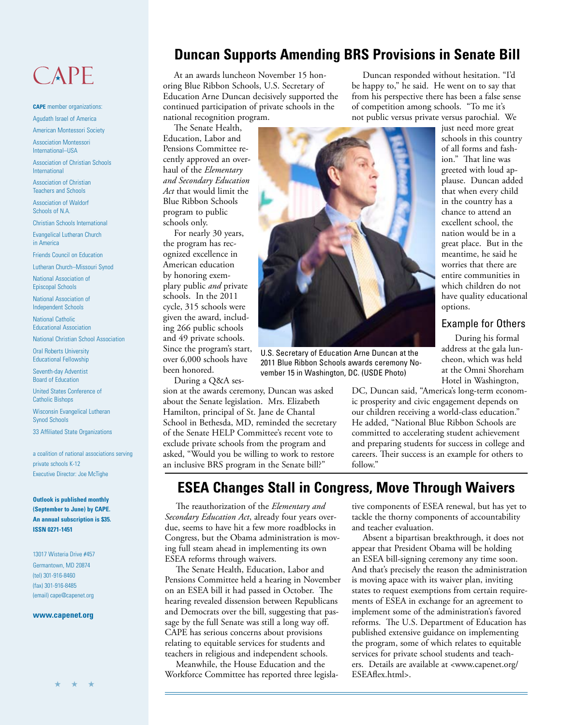## CAPE

**CAPE** member organizations: Agudath Israel of America

American Montessori Society

Association Montessori International–USA

Association of Christian Schools International

Association of Christian Teachers and Schools

Association of Waldorf Schools of N.A.

Christian Schools International

Evangelical Lutheran Church in America

Friends Council on Education

Lutheran Church–Missouri Synod

National Association of Episcopal Schools

National Association of Independent Schools

National Catholic Educational Association

National Christian School Association

Oral Roberts University Educational Fellowship

Seventh-day Adventist Board of Education

United States Conference of Catholic Bishops

Wisconsin Evangelical Lutheran Synod Schools

33 Affiliated State Organizations

a coalition of national associations serving private schools K-12 Executive Director: Joe McTighe

**Outlook is published monthly (September to June) by CAPE. An annual subscription is \$35. ISSN 0271-1451**

13017 Wisteria Drive #457 Germantown, MD 20874 (tel) 301-916-8460 (fax) 301-916-8485 (email) cape@capenet.org

#### **www.capenet.org**

### **Duncan Supports Amending BRS Provisions in Senate Bill**

At an awards luncheon November 15 honoring Blue Ribbon Schools, U.S. Secretary of Education Arne Duncan decisively supported the continued participation of private schools in the national recognition program.

The Senate Health,

Education, Labor and Pensions Committee recently approved an overhaul of the *Elementary and Secondary Education Act* that would limit the Blue Ribbon Schools program to public schools only.

For nearly 30 years, the program has recognized excellence in American education by honoring exemplary public *and* private schools. In the 2011 cycle, 315 schools were given the award, including 266 public schools and 49 private schools. Since the program's start, over 6,000 schools have been honored.

During a Q&A ses-

sion at the awards ceremony, Duncan was asked about the Senate legislation. Mrs. Elizabeth Hamilton, principal of St. Jane de Chantal School in Bethesda, MD, reminded the secretary of the Senate HELP Committee's recent vote to exclude private schools from the program and asked, "Would you be willing to work to restore an inclusive BRS program in the Senate bill?"

### **ESEA Changes Stall in Congress, Move Through Waivers**

The reauthorization of the *Elementary and Secondary Education Act*, already four years overdue, seems to have hit a few more roadblocks in Congress, but the Obama administration is moving full steam ahead in implementing its own ESEA reforms through waivers.

The Senate Health, Education, Labor and Pensions Committee held a hearing in November on an ESEA bill it had passed in October. The hearing revealed dissension between Republicans and Democrats over the bill, suggesting that passage by the full Senate was still a long way off. CAPE has serious concerns about provisions relating to equitable services for students and teachers in religious and independent schools.

Meanwhile, the House Education and the Workforce Committee has reported three legisla-

Duncan responded without hesitation. "I'd be happy to," he said. He went on to say that from his perspective there has been a false sense of competition among schools. "To me it's not public versus private versus parochial. We

> just need more great schools in this country of all forms and fashion." That line was greeted with loud applause. Duncan added that when every child in the country has a chance to attend an excellent school, the nation would be in a great place. But in the meantime, he said he worries that there are entire communities in which children do not have quality educational options.

#### Example for Others

 During his formal address at the gala luncheon, which was held at the Omni Shoreham Hotel in Washington,

DC, Duncan said, "America's long-term economic prosperity and civic engagement depends on our children receiving a world-class education." He added, "National Blue Ribbon Schools are committed to accelerating student achievement and preparing students for success in college and careers. Their success is an example for others to follow."

tive components of ESEA renewal, but has yet to tackle the thorny components of accountability and teacher evaluation.

Absent a bipartisan breakthrough, it does not appear that President Obama will be holding an ESEA bill-signing ceremony any time soon. And that's precisely the reason the administration is moving apace with its waiver plan, inviting states to request exemptions from certain requirements of ESEA in exchange for an agreement to implement some of the administration's favored reforms. The U.S. Department of Education has published extensive guidance on implementing the program, some of which relates to equitable services for private school students and teachers. Details are available at <www.capenet.org/ ESEAflex.html>.



U.S. Secretary of Education Arne Duncan at the 2011 Blue Ribbon Schools awards ceremony November 15 in Washington, DC. (USDE Photo)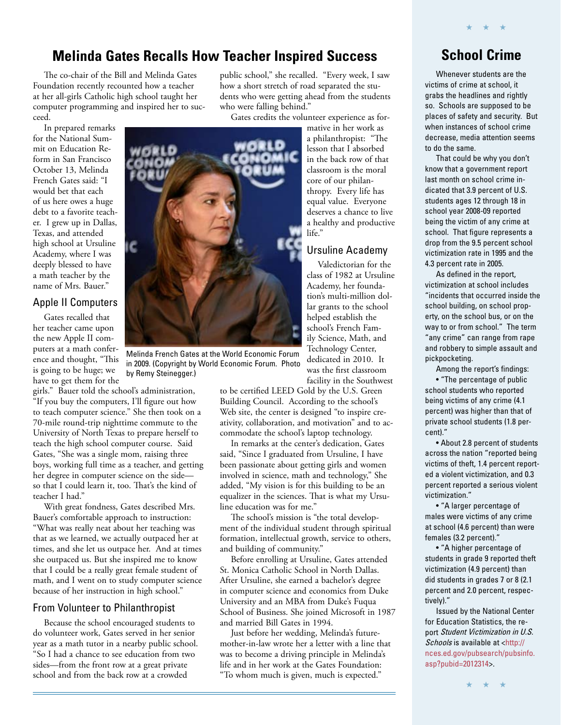### **Melinda Gates Recalls How Teacher Inspired Success School Crime**

The co-chair of the Bill and Melinda Gates Foundation recently recounted how a teacher at her all-girls Catholic high school taught her computer programming and inspired her to succeed.

In prepared remarks for the National Summit on Education Reform in San Francisco October 13, Melinda French Gates said: "I would bet that each of us here owes a huge debt to a favorite teacher. I grew up in Dallas, Texas, and attended high school at Ursuline Academy, where I was deeply blessed to have a math teacher by the name of Mrs. Bauer."

### Apple II Computers

Gates recalled that her teacher came upon the new Apple II computers at a math conference and thought, "This is going to be huge; we have to get them for the

girls." Bauer told the school's administration, "If you buy the computers, I'll figure out how to teach computer science." She then took on a 70-mile round-trip nighttime commute to the University of North Texas to prepare herself to teach the high school computer course. Said Gates, "She was a single mom, raising three boys, working full time as a teacher, and getting her degree in computer science on the side so that I could learn it, too. That's the kind of teacher I had."

With great fondness, Gates described Mrs. Bauer's comfortable approach to instruction: "What was really neat about her teaching was that as we learned, we actually outpaced her at times, and she let us outpace her. And at times she outpaced us. But she inspired me to know that I could be a really great female student of math, and I went on to study computer science because of her instruction in high school."

### From Volunteer to Philanthropist

Because the school encouraged students to do volunteer work, Gates served in her senior year as a math tutor in a nearby public school. "So I had a chance to see education from two sides—from the front row at a great private school and from the back row at a crowded

public school," she recalled. "Every week, I saw how a short stretch of road separated the students who were getting ahead from the students who were falling behind."

Gates credits the volunteer experience as for-



Melinda French Gates at the World Economic Forum in 2009. (Copyright by World Economic Forum. Photo by Remy Steinegger.)

to be certified LEED Gold by the U.S. Green Building Council. According to the school's Web site, the center is designed "to inspire creativity, collaboration, and motivation" and to accommodate the school's laptop technology.

Valedictorian for the

dedicated in 2010. It was the first classroom facility in the Southwest

In remarks at the center's dedication, Gates said, "Since I graduated from Ursuline, I have been passionate about getting girls and women involved in science, math and technology," She added, "My vision is for this building to be an equalizer in the sciences. That is what my Ursuline education was for me."

The school's mission is "the total development of the individual student through spiritual formation, intellectual growth, service to others, and building of community."

Before enrolling at Ursuline, Gates attended St. Monica Catholic School in North Dallas. After Ursuline, she earned a bachelor's degree in computer science and economics from Duke University and an MBA from Duke's Fuqua School of Business. She joined Microsoft in 1987 and married Bill Gates in 1994.

Just before her wedding, Melinda's futuremother-in-law wrote her a letter with a line that was to become a driving principle in Melinda's life and in her work at the Gates Foundation: "To whom much is given, much is expected."

★ ★ ★

Whenever students are the victims of crime at school, it grabs the headlines and rightly so. Schools are supposed to be places of safety and security. But when instances of school crime decrease, media attention seems to do the same.

That could be why you don't know that a government report last month on school crime indicated that 3.9 percent of U.S. students ages 12 through 18 in school year 2008-09 reported being the victim of any crime at school. That figure represents a drop from the 9.5 percent school victimization rate in 1995 and the 4.3 percent rate in 2005.

As defined in the report, victimization at school includes "incidents that occurred inside the school building, on school property, on the school bus, or on the way to or from school." The term "any crime" can range from rape and robbery to simple assault and pickpocketing.

Among the report's findings:

• "The percentage of public school students who reported being victims of any crime (4.1 percent) was higher than that of private school students (1.8 percent)."

• About 2.8 percent of students across the nation "reported being victims of theft, 1.4 percent reported a violent victimization, and 0.3 percent reported a serious violent victimization."

• "A larger percentage of males were victims of any crime at school (4.6 percent) than were females (3.2 percent)."

• "A higher percentage of students in grade 9 reported theft victimization (4.9 percent) than did students in grades 7 or 8 (2.1 percent and 2.0 percent, respectively)."

Issued by the National Center for Education Statistics, the report Student Victimization in U.S. Schools is available at <http:// [nces.ed.gov/pubsearch/pubsinfo.](http://nces.ed.gov/pubsearch/pubsinfo.asp?pubid=2012314) asp?pubid=2012314>.